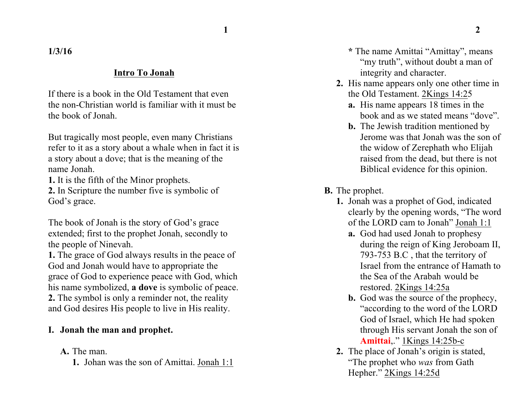**1 2**

**1/3/16**

### **Intro To Jonah**

If there is a book in the Old Testament that even the non-Christian world is familiar with it must be the book of Jonah.

But tragically most people, even many Christians refer to it as a story about a whale when in fact it is a story about a dove; that is the meaning of the name Jonah.

**1.** It is the fifth of the Minor prophets.

**2.** In Scripture the number five is symbolic of God's grace.

The book of Jonah is the story of God's grace extended; first to the prophet Jonah, secondly to the people of Ninevah.

**1.** The grace of God always results in the peace of God and Jonah would have to appropriate the grace of God to experience peace with God, which his name symbolized, **a dove** is symbolic of peace. **2.** The symbol is only a reminder not, the reality and God desires His people to live in His reality.

# **I. Jonah the man and prophet.**

### **A.** The man.

**1.** Johan was the son of Amittai. Jonah 1:1

- **\*** The name Amittai "Amittay", means "my truth", without doubt a man of integrity and character.
- **2.** His name appears only one other time in the Old Testament. 2Kings 14:25
	- **a.** His name appears 18 times in the book and as we stated means "dove".
	- **b.** The Jewish tradition mentioned by Jerome was that Jonah was the son of the widow of Zerephath who Elijah raised from the dead, but there is not Biblical evidence for this opinion.
- **B.** The prophet.
	- **1.** Jonah was a prophet of God, indicated clearly by the opening words, "The word of the LORD cam to Jonah" Jonah 1:1
		- **a.** God had used Jonah to prophesy during the reign of King Jeroboam II, 793-753 B.C , that the territory of Israel from the entrance of Hamath to the Sea of the Arabah would be restored. 2Kings 14:25a
		- **b.** God was the source of the prophecy, "according to the word of the LORD God of Israel, which He had spoken through His servant Jonah the son of **Amittai**,." 1Kings 14:25b-c
	- **2.** The place of Jonah's origin is stated, "The prophet who *was* from Gath Hepher." 2Kings 14:25d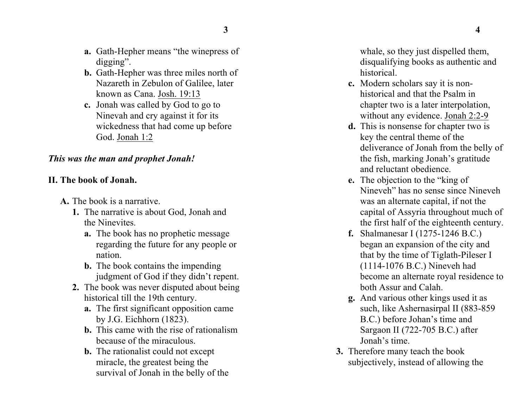- **a.** Gath-Hepher means "the winepress of digging".
- **b.** Gath-Hepher was three miles north of Nazareth in Zebulon of Galilee, later known as Cana. Josh. 19:13
- **c.** Jonah was called by God to go to Ninevah and cry against it for its wickedness that had come up before God. Jonah 1:2

## *This was the man and prophet Jonah!*

### **II. The book of Jonah.**

- **A.** The book is a narrative.
	- **1.** The narrative is about God, Jonah and the Ninevites.
		- **a.** The book has no prophetic message regarding the future for any people or nation.
		- **b.** The book contains the impending judgment of God if they didn't repent.
	- **2.** The book was never disputed about being historical till the 19th century.
		- **a.** The first significant opposition came by J.G. Eichhorn (1823).
		- **b.** This came with the rise of rationalism because of the miraculous.
		- **b.** The rationalist could not except miracle, the greatest being the survival of Jonah in the belly of the

whale, so they just dispelled them, disqualifying books as authentic and historical.

- **c.** Modern scholars say it is nonhistorical and that the Psalm in chapter two is a later interpolation, without any evidence. Jonah 2:2-9
- **d.** This is nonsense for chapter two is key the central theme of the deliverance of Jonah from the belly of the fish, marking Jonah's gratitude and reluctant obedience.
- **e.** The objection to the "king of Nineveh" has no sense since Nineveh was an alternate capital, if not the capital of Assyria throughout much of the first half of the eighteenth century.
- **f.** Shalmanesar I (1275-1246 B.C.) began an expansion of the city and that by the time of Tiglath-Pileser I (1114-1076 B.C.) Nineveh had become an alternate royal residence to both Assur and Calah.
- **g.** And various other kings used it as such, like Ashernasirpal II (883-859 B.C.) before Johan's time and Sargaon II (722-705 B.C.) after Jonah's time.
- **3.** Therefore many teach the book subjectively, instead of allowing the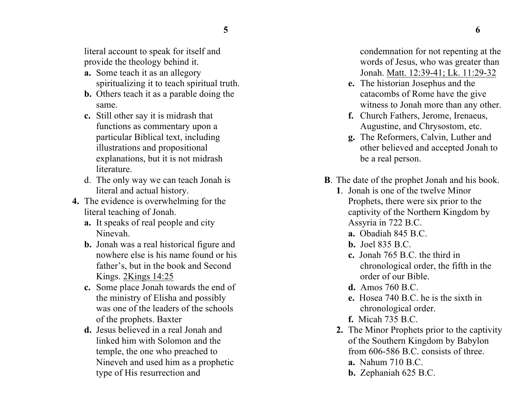literal account to speak for itself and provide the theology behind it.

- **a.** Some teach it as an allegory spiritualizing it to teach spiritual truth.
- **b.** Others teach it as a parable doing the same.
- **c.** Still other say it is midrash that functions as commentary upon a particular Biblical text, including illustrations and propositional explanations, but it is not midrash literature.
- d. The only way we can teach Jonah is literal and actual history.
- **4.** The evidence is overwhelming for the literal teaching of Jonah.
	- **a.** It speaks of real people and city Ninevah.
	- **b.** Jonah was a real historical figure and nowhere else is his name found or his father's, but in the book and Second Kings. 2Kings 14:25
	- **c.** Some place Jonah towards the end of the ministry of Elisha and possibly was one of the leaders of the schools of the prophets. Baxter
	- **d.** Jesus believed in a real Jonah and linked him with Solomon and the temple, the one who preached to Nineveh and used him as a prophetic type of His resurrection and

condemnation for not repenting at the words of Jesus, who was greater than Jonah. Matt. 12:39-41; Lk. 11:29-32

- **e.** The historian Josephus and the catacombs of Rome have the give witness to Jonah more than any other.
- **f.** Church Fathers, Jerome, Irenaeus, Augustine, and Chrysostom, etc.
- **g.** The Reformers, Calvin, Luther and other believed and accepted Jonah to be a real person.
- **B**. The date of the prophet Jonah and his book.
	- **1**. Jonah is one of the twelve Minor Prophets, there were six prior to the captivity of the Northern Kingdom by Assyria in 722 B.C.
		- **a.** Obadiah 845 B.C.
		- **b.** Joel 835 B.C.
		- **c.** Jonah 765 B.C. the third in chronological order, the fifth in the order of our Bible.
		- **d.** Amos 760 B.C.
		- **e.** Hosea 740 B.C. he is the sixth in chronological order.
		- **f.** Micah 735 B.C.
	- **2.** The Minor Prophets prior to the captivity of the Southern Kingdom by Babylon from 606-586 B.C. consists of three.
		- **a.** Nahum 710 B.C.
		- **b.** Zephaniah 625 B.C.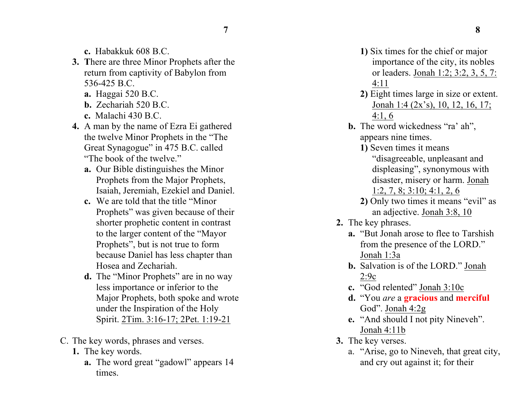- **c.** Habakkuk 608 B.C.
- **3. T**here are three Minor Prophets after the return from captivity of Babylon from 536-425 B.C.
	- **a.** Haggai 520 B.C.
	- **b.** Zechariah 520 B.C.
	- **c.** Malachi 430 B.C.
- **4.** A man by the name of Ezra Ei gathered the twelve Minor Prophets in the "The Great Synagogue" in 475 B.C. called "The book of the twelve."
	- **a.** Our Bible distinguishes the Minor Prophets from the Major Prophets, Isaiah, Jeremiah, Ezekiel and Daniel.
	- **c.** We are told that the title "Minor Prophets" was given because of their shorter prophetic content in contrast to the larger content of the "Mayor Prophets", but is not true to form because Daniel has less chapter than Hosea and Zechariah.
	- **d.** The "Minor Prophets" are in no way less importance or inferior to the Major Prophets, both spoke and wrote under the Inspiration of the Holy Spirit. 2Tim. 3:16-17; 2Pet. 1:19-21
- C. The key words, phrases and verses.
	- **1.** The key words.
		- **a.** The word great "gadowl" appears 14 times.
- **1)** Six times for the chief or major importance of the city, its nobles or leaders. Jonah 1:2; 3:2, 3, 5, 7: 4:11
- **2)** Eight times large in size or extent. Jonah 1:4 (2x's), 10, 12, 16, 17; 4:1, 6
- **b.** The word wickedness "ra' ah", appears nine times.
	- **1)** Seven times it means "disagreeable, unpleasant and displeasing", synonymous with disaster, misery or harm. Jonah 1:2, 7, 8; 3:10; 4:1, 2, 6
	- **2)** Only two times it means "evil" as an adjective. Jonah 3:8, 10
- **2.** The key phrases.
	- **a.** "But Jonah arose to flee to Tarshish from the presence of the LORD." Jonah 1:3a
	- **b.** Salvation is of the LORD." Jonah 2:9c
	- **c.** "God relented" Jonah 3:10c
	- **d.** "You *are* a **gracious** and **merciful** God". Jonah 4:2g
	- **e.** "And should I not pity Nineveh". Jonah 4:11b
- **3.** The key verses.
	- a. "Arise, go to Nineveh, that great city, and cry out against it; for their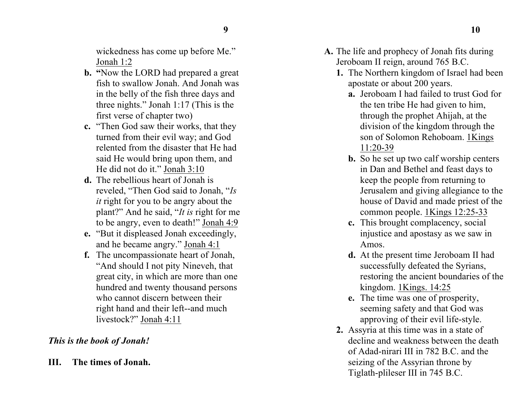wickedness has come up before Me." Jonah 1:2

- **b. "**Now the LORD had prepared a great fish to swallow Jonah. And Jonah was in the belly of the fish three days and three nights." Jonah 1:17 (This is the first verse of chapter two)
- **c.** "Then God saw their works, that they turned from their evil way; and God relented from the disaster that He had said He would bring upon them, and He did not do it." Jonah 3:10
- **d.** The rebellious heart of Jonah is reveled, "Then God said to Jonah, "*Is it* right for you to be angry about the plant?" And he said, "*It is* right for me to be angry, even to death!" Jonah 4:9
- **e.** "But it displeased Jonah exceedingly, and he became angry." Jonah 4:1
- **f.** The uncompassionate heart of Jonah, "And should I not pity Nineveh, that great city, in which are more than one hundred and twenty thousand persons who cannot discern between their right hand and their left--and much livestock?" Jonah 4:11

### *This is the book of Jonah!*

**III. The times of Jonah.**

- **A.** The life and prophecy of Jonah fits during Jeroboam II reign, around 765 B.C.
	- **1.** The Northern kingdom of Israel had been apostate or about 200 years.
		- **a.** Jeroboam I had failed to trust God for the ten tribe He had given to him, through the prophet Ahijah, at the division of the kingdom through the son of Solomon Rehoboam. 1Kings 11:20-39
		- **b.** So he set up two calf worship centers in Dan and Bethel and feast days to keep the people from returning to Jerusalem and giving allegiance to the house of David and made priest of the common people. 1Kings 12:25-33
		- **c.** This brought complacency, social injustice and apostasy as we saw in Amos.
		- **d.** At the present time Jeroboam II had successfully defeated the Syrians, restoring the ancient boundaries of the kingdom. 1Kings. 14:25
		- **e.** The time was one of prosperity, seeming safety and that God was approving of their evil life-style.
	- **2.** Assyria at this time was in a state of decline and weakness between the death of Adad-nirari III in 782 B.C. and the seizing of the Assyrian throne by Tiglath-plileser III in 745 B.C.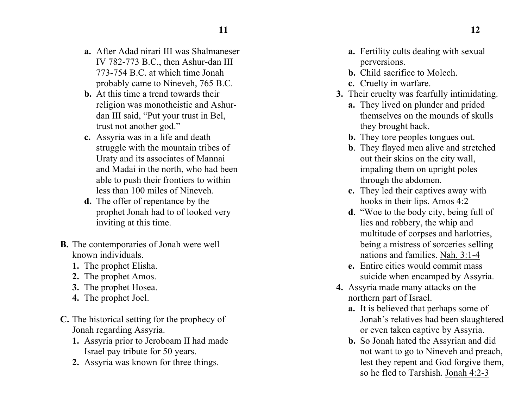- **a.** After Adad nirari III was Shalmaneser IV 782-773 B.C., then Ashur-dan III 773-754 B.C. at which time Jonah probably came to Nineveh, 765 B.C.
- **b.** At this time a trend towards their religion was monotheistic and Ashurdan III said, "Put your trust in Bel, trust not another god."
- **c.** Assyria was in a life and death struggle with the mountain tribes of Uraty and its associates of Mannai and Madai in the north, who had been able to push their frontiers to within less than 100 miles of Nineveh.
- **d.** The offer of repentance by the prophet Jonah had to of looked very inviting at this time.
- **B.** The contemporaries of Jonah were well known individuals.
	- **1.** The prophet Elisha.
	- **2.** The prophet Amos.
	- **3.** The prophet Hosea.
	- **4.** The prophet Joel.
- **C.** The historical setting for the prophecy of Jonah regarding Assyria.
	- **1.** Assyria prior to Jeroboam II had made Israel pay tribute for 50 years.
	- **2.** Assyria was known for three things.
- **a.** Fertility cults dealing with sexual perversions.
- **b.** Child sacrifice to Molech.
- **c.** Cruelty in warfare.
- **3.** Their cruelty was fearfully intimidating.
	- **a.** They lived on plunder and prided themselves on the mounds of skulls they brought back.
	- **b.** They tore peoples tongues out.
	- **b**. They flayed men alive and stretched out their skins on the city wall, impaling them on upright poles through the abdomen.
	- **c.** They led their captives away with hooks in their lips. Amos 4:2
	- **d**. "Woe to the body city, being full of lies and robbery, the whip and multitude of corpses and harlotries, being a mistress of sorceries selling nations and families. Nah. 3:1-4
	- **e.** Entire cities would commit mass suicide when encamped by Assyria.
- **4.** Assyria made many attacks on the northern part of Israel.
	- **a.** It is believed that perhaps some of Jonah's relatives had been slaughtered or even taken captive by Assyria.
	- **b.** So Jonah hated the Assyrian and did not want to go to Nineveh and preach, lest they repent and God forgive them, so he fled to Tarshish. Jonah 4:2-3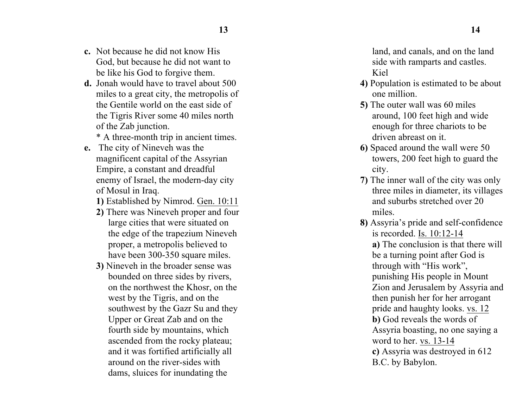- **c.** Not because he did not know His God, but because he did not want to be like his God to forgive them .
- **d .** Jonah would have to travel about 500 miles to a great city, the metropolis of the Gentile world on the east side of the Tigris Rive r some 40 miles north of the Zab junction.

\* A three -month trip in ancient times.

**e .** The city of Nineveh was the mag nificent capital of the Assyrian Empire, a constant and dreadful enemy of Israel, the modern -day city of Mosul in Iraq .

**1)** Established by Nimrod. Gen. 10:11

- **2)** There was Nineveh proper and four large cities that were situated on the edge of the trapezium Nineveh proper, a metropolis believed to have been 300-350 square miles.
- **3)** Nineveh in the broader sense was bounded on three sides by rivers, on the northwest the Khosr, on the west by the Tigris, and on the southwest by the Gazr Su and they Upper or Great Zab and on the fourth side by mountains, which ascended from the rocky plateau; and it was fortified artific ially all around on the river -sides with dams, sluices for inundating the

land, and canals, and on the land side with rampar ts and castles. Kiel

- **4)** Population is estimated to be about one million .
- **5 )** The outer wall was 60 miles around, 100 feet high and wide enough for three chariots to be driven abreast on it.
- **6 )** Spaced around the wall were 50 towers, 200 feet high to guard the city.
- **7 )** The inner wall of the city was only three miles in diameter, its villages and suburbs stretched over 20 miles.
- **8 )** Assyria's pride and self-confidence is recorded. Is. 10:12-14 **a)** The conclusion is that there will be a turning point after God is through with "His work", punishing His people in Mount Zion and Jerusalem by Assyria and then punish her for her arrogant pride and haughty looks. vs. 12 **b)** God reveals the words of Assyria boasting, no one saying a word to her. vs. 13-14 **c)** Assyria was destroyed in 612 B.C. by Babylon.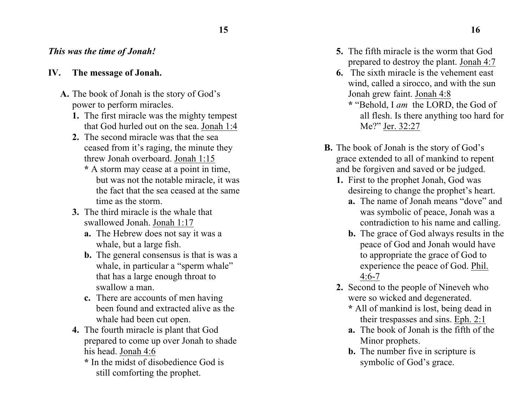### *This was the time of Jonah!*

### **IV. The message of Jonah.**

- **A.** The book of Jonah is the story of God's power to perform miracles.
	- **1.** The first miracle was the mighty tempest that God hurled out on the sea. Jonah 1:4
	- **2.** The second miracle was that the sea ceased from it's raging, the minute they threw Jonah overboard. Jonah 1:15
		- **\*** A storm may cease at a point in time, but was not the notable miracle, it was the fact that the sea ceased at the same time as the storm.
	- **3.** The third miracle is the whale that swallowed Jonah. Jonah 1:17
		- **a.** The Hebrew does not say it was a whale, but a large fish.
		- **b.** The general consensus is that is was a whale, in particular a "sperm whale" that has a large enough throat to swallow a man.
		- **c.** There are accounts of men having been found and extracted alive as the whale had been cut open.
	- **4.** The fourth miracle is plant that God prepared to come up over Jonah to shade his head. Jonah 4:6
		- **\*** In the midst of disobedience God is still comforting the prophet.
- **5.** The fifth miracle is the worm that God prepared to destroy the plant. Jonah 4:7
- **6.** The sixth miracle is the vehement east wind, called a sirocco, and with the sun Jonah grew faint. Jonah 4:8
	- **\*** "Behold, I *am* the LORD, the God of all flesh. Is there anything too hard for Me?" Jer. 32:27
- **B.** The book of Jonah is the story of God's grace extended to all of mankind to repent and be forgiven and saved or be judged.
	- **1.** First to the prophet Jonah, God was desireing to change the prophet's heart.
		- **a.** The name of Jonah means "dove" and was symbolic of peace, Jonah was a contradiction to his name and calling.
		- **b.** The grace of God always results in the peace of God and Jonah would have to appropriate the grace of God to experience the peace of God. Phil. 4:6-7
	- **2.** Second to the people of Nineveh who were so wicked and degenerated.
		- **\*** All of mankind is lost, being dead in their trespasses and sins. Eph. 2:1
		- **a.** The book of Jonah is the fifth of the Minor prophets.
		- **b.** The number five in scripture is symbolic of God's grace.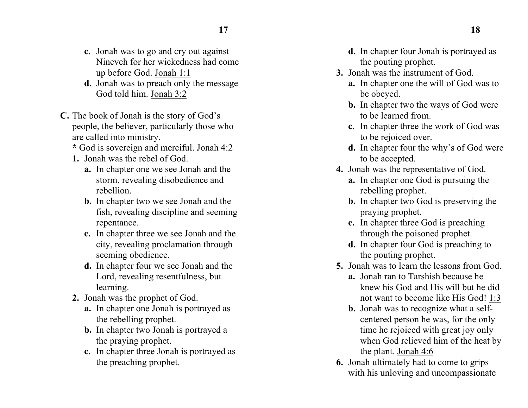- **c.** Jonah was to go and cry out against Nineveh for her wickedness had come up before God. Jonah 1:1
- **d.** Jonah was to preach only the message God told him. Jonah 3:2
- **C.** The book of Jonah is the story of God's people, the believer, particularly those who are called into ministry.
	- **\*** God is sovereign and merciful. Jonah 4:2
	- **1.** Jonah was the rebel of God.
		- **a.** In chapter one we see Jonah and the storm, revealing disobedience and rebellion.
		- **b.** In chapter two we see Jonah and the fish, revealing discipline and seeming repentance.
		- **c.** In chapter three we see Jonah and the city, revealing proclamation through seeming obedience.
		- **d.** In chapter four we see Jonah and the Lord, revealing resentfulness , but learning.
	- **2.** Jonah was the prophet of God.
		- **a.** In chapter one Jonah is portrayed as the rebelling prophet.
		- **b.** In chapter two Jonah is portrayed a the praying prophet.
		- **c.** In chapter three Jonah is portrayed as the preaching prophet.
- **d.** In chapter four Jonah is portrayed as the pouting prophet.
- **3.** Jonah was the instrument of God.
	- **a.** In chapter one the will of God was to be obeyed.
	- **b.** In chapter two the ways of God were to be learned from.
	- **c.** In chapter three the work of God was to be rejoiced over.
	- **d.** In chapter four the why's of God were to be accepted.
- **4.** Jonah was the representative of God.
	- **a.** In chapter one God is pursuing the rebelling prophet.
	- **b.** In chapter two God is preserving the praying prophet.
	- **c.** In chapter three God is preaching through the poisoned prophet.
	- **d.** In chapter four God is preaching to the pouting prophet.
- **5.** Jonah was to learn the lessons from God.
	- **a.** Jonah ran to Tarshish because he knew his God and His will but he did not want to become like His God! 1:3
	- **b.** Jonah was to recognize what a selfcentered person he was, for the only time he rejoiced with great joy only when God relieved him of the heat by the plant. Jonah 4:6
- **6 .** Jonah ultimately had to come to grips with his unloving and uncompassionate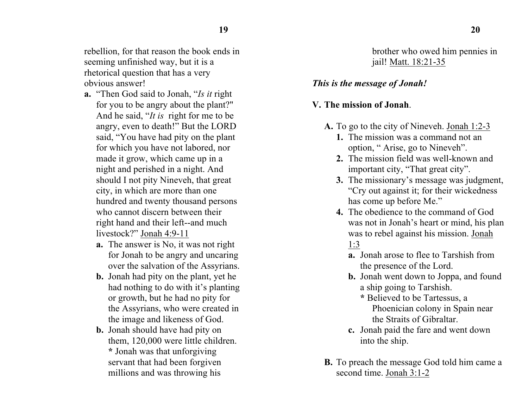rebellion, for that reason the book ends in seeming unfinished way, but it is a rhetorical question that has a very obvious answer!

- **a.** "Then God said to Jonah, "*Is it* right for you to be angry about the plant?" And he said, "*It is* right for me to be angry, even to death!" But the LORD said, "You have had pity on the plant for which you have not labored, nor made it grow, which came up in a night and perished in a night. And should I not pity Nineveh, that great city, in which are more than one hundred and twenty thousand persons who cannot discern between their right hand and their left--and much livestock?" Jonah 4:9-11
	- **a.** The answer is No, it was not right for Jonah to be angry and uncaring over the salvation of the Assyrians.
	- **b.** Jonah had pity on the plant, yet he had nothing to do with it's planting or growth, but he had no pity for the Assyrians, who were created in the image and likeness of God.
	- **b.** Jonah should have had pity on them, 120,000 were little children. **\*** Jonah was that unforgiving servant that had been forgiven millions and was throwing his

brother who owed him pennies in jail! Matt. 18:21-35

#### *This is the message of Jonah!*

### **V. The mission of Jonah**.

- **A.** To go to the city of Nineveh. Jonah 1:2-3
	- **1.** The mission was a command not an option, " Arise, go to Nineveh".
	- **2.** The mission field was well-known and important city, "That great city".
	- **3.** The missionary's message was judgment, "Cry out against it; for their wickedness has come up before Me."
	- **4.** The obedience to the command of God was not in Jonah's heart or mind, his plan was to rebel against his mission. Jonah 1:3
		- **a.** Jonah arose to flee to Tarshish from the presence of the Lord.
		- **b.** Jonah went down to Joppa, and found a ship going to Tarshish.
			- **\*** Believed to be Tartessus, a Phoenician colony in Spain near the Straits of Gibraltar.
		- **c.** Jonah paid the fare and went down into the ship.
- **B.** To preach the message God told him came a second time. Jonah 3:1-2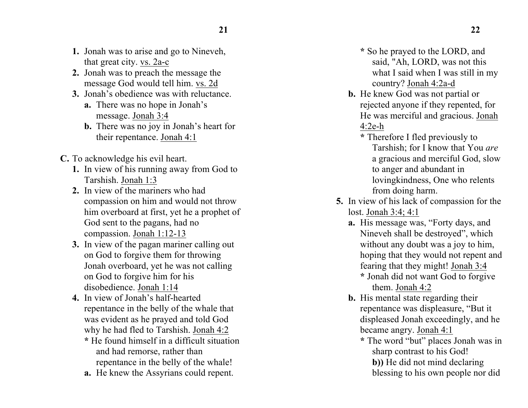- **1.** Jonah was to arise and go to Nineveh, that great city. vs. 2a-c
- **2.** Jonah was to preach the message the message God would tell him. vs. 2d
- **3.** Jonah's obedience was with reluctance.
	- **a.** There was no hope in Jonah's message. Jonah 3:4
	- **b.** There was no joy in Jonah's heart for their repentance. Jonah 4:1
- **C.** To acknowledge his evil heart.
	- **1.** In view of his running away from God to Tarshish. Jonah 1:3
	- **2.** In view of the mariners who had compassion on him and would not throw him overboard at first, yet he a prophet of God sent to the pagans, had no compassion. Jonah 1:12-13
	- **3.** In view of the pagan mariner calling out on God to forgive them for throwing Jonah overboard, yet he was not calling on God to forgive him for his disobedience. Jonah 1:14
	- **4.** In view of Jonah's half-hearted repentance in the belly of the whale that was evident as he prayed and told God why he had fled to Tarshish. Jonah 4:2
		- **\*** He found himself in a difficult situation and had remorse, rather than repentance in the belly of the whale!
		- **a.** He knew the Assyrians could repent.
- **\*** So he prayed to the LORD, and said, "Ah, LORD, was not this what I said when I was still in my country? Jonah 4:2a-d
- **b.** He knew God was not partial or rejected anyone if they repented, for He was merciful and gracious. Jonah 4:2e-h
	- **\*** Therefore I fled previously to Tarshish; for I know that You *are* a gracious and merciful God, slow to anger and abundant in lovingkindness, One who relents from doing harm.
- **5.** In view of his lack of compassion for the lost. Jonah 3:4; 4:1
	- **a.** His message was, "Forty days, and Nineveh shall be destroyed", which without any doubt was a joy to him, hoping that they would not repent and fearing that they might! Jonah 3:4
		- **\*** Jonah did not want God to forgive them. Jonah 4:2
	- **b.** His mental state regarding their repentance was displeasure, "But it displeased Jonah exceedingly, and he became angry. Jonah 4:1
		- **\*** The word "but" places Jonah was in sharp contrast to his God! **b))** He did not mind declaring blessing to his own people nor did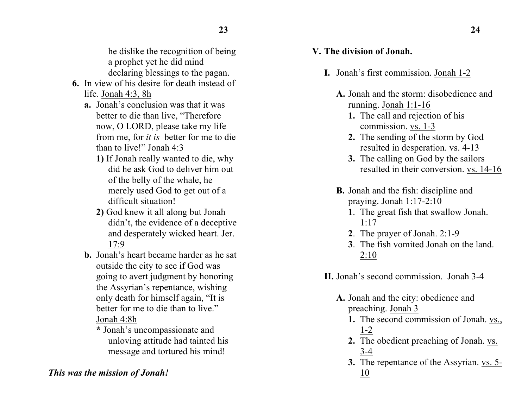- **6.** In view of his desire for death instead of life. Jonah 4:3, 8h
	- **a.** Jonah's conclusion was that it was better to die than live, "Therefore now, O LORD, please take my life from me, for *it is* better for me to die than to live!" Jonah 4:3
		- **1)** If Jonah really wanted to die, why did he ask God to deliver him out of the belly of the whale, he merely used God to get out of a difficult situation!
		- **2)** God knew it all along but Jonah didn't, the evidence of a deceptive and desperately wicked heart. Jer. 17:9
	- **b.** Jonah's heart became harder as he sat outside the city to see if God was going to avert judgment by honoring the Assyrian's repentance, wishing only death for himself again, "It is better for me to die than to live." Jonah 4:8h
		- **\*** Jonah's uncompassionate and unloving attitude had tainted his message and tortured his mind!

# *This was the mission of Jonah!*

## **V. The division of Jonah.**

- **I.** Jonah's first commission. Jonah 1-2
	- **A.** Jonah and the storm: disobedience and running. Jonah 1:1-16
		- **1.** The call and rejection of his commission. vs. 1-3
		- **2.** The sending of the storm by God resulted in desperation. vs. 4-13
		- **3.** The calling on God by the sailors resulted in their conversion. vs. 14-16
	- **B.** Jonah and the fish: discipline and praying. Jonah 1:17-2:10
		- **1**. The great fish that swallow Jonah. 1:17
		- **2**. The prayer of Jonah. 2:1-9
		- **3**. The fish vomited Jonah on the land.  $2:10$
- **II.** Jonah's second commission. Jonah 3-4
	- **A.** Jonah and the city: obedience and preaching. Jonah 3
		- **1.** The second commission of Jonah. vs., 1-2
		- **2.** The obedient preaching of Jonah. vs. 3-4
		- **3.** The repentance of the Assyrian. vs. 5- 10